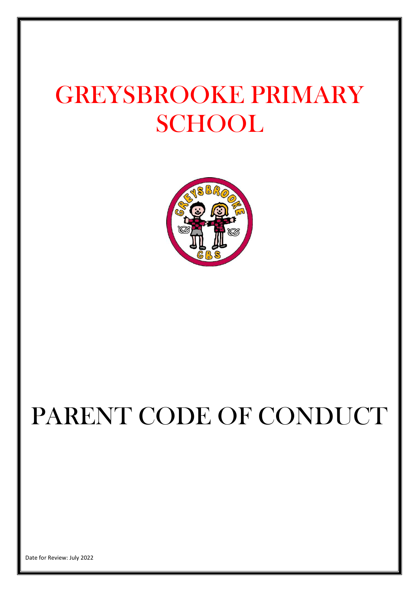# GREYSBROOKE PRIMARY **SCHOOL**



# PARENT CODE OF CONDUCT

Date for Review: July 2022